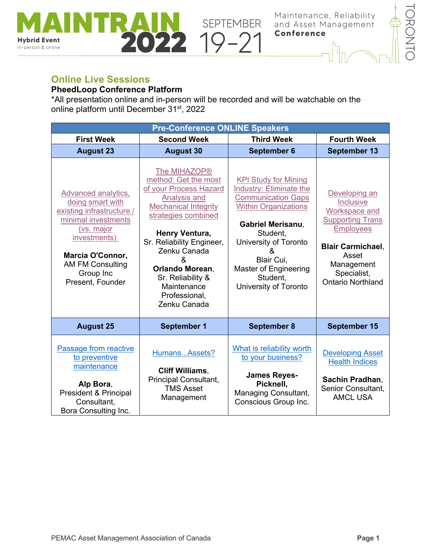



## **Online Live Sessions**

in-person & online

## **PheedLoop Conference Platform**

**MAINTRAIN** SEPTEMBER<br> **AND SEPTEMBER**<br> **2022** 19-21

\*All presentation online and in-person will be recorded and will be watchable on the online platform until December 31st, 2022

| <b>Pre-Conference ONLINE Speakers</b>                                                                                                                                                                     |                                                                                                                                                                                                                                                                                                  |                                                                                                                                                                                                                                                                      |                                                                                                                                                                                          |  |  |
|-----------------------------------------------------------------------------------------------------------------------------------------------------------------------------------------------------------|--------------------------------------------------------------------------------------------------------------------------------------------------------------------------------------------------------------------------------------------------------------------------------------------------|----------------------------------------------------------------------------------------------------------------------------------------------------------------------------------------------------------------------------------------------------------------------|------------------------------------------------------------------------------------------------------------------------------------------------------------------------------------------|--|--|
| <b>First Week</b>                                                                                                                                                                                         | <b>Second Week</b>                                                                                                                                                                                                                                                                               | <b>Third Week</b>                                                                                                                                                                                                                                                    | <b>Fourth Week</b>                                                                                                                                                                       |  |  |
| <b>August 23</b>                                                                                                                                                                                          | <b>August 30</b>                                                                                                                                                                                                                                                                                 | September 6                                                                                                                                                                                                                                                          | September 13                                                                                                                                                                             |  |  |
| Advanced analytics,<br>doing smart with<br>existing infrastructure /<br>minimal investments<br>(vs. major<br>investments)<br>Marcia O'Connor,<br><b>AM FM Consulting</b><br>Group Inc<br>Present, Founder | The MIHAZOP®<br>method: Get the most<br>of your Process Hazard<br>Analysis and<br><b>Mechanical Integrity</b><br>strategies combined<br>Henry Ventura,<br>Sr. Reliability Engineer,<br>Zenku Canada<br>ጼ<br>Orlando Morean,<br>Sr. Reliability &<br>Maintenance<br>Professional,<br>Zenku Canada | <b>KPI Study for Mining</b><br>Industry: Eliminate the<br><b>Communication Gaps</b><br><b>Within Organizations</b><br><b>Gabriel Merisanu,</b><br>Student,<br>University of Toronto<br>&<br>Blair Cui,<br>Master of Engineering<br>Student,<br>University of Toronto | Developing an<br>Inclusive<br>Workspace and<br><b>Supporting Trans</b><br><b>Employees</b><br><b>Blair Carmichael.</b><br>Asset<br>Management<br>Specialist,<br><b>Ontario Northland</b> |  |  |
| <b>August 25</b>                                                                                                                                                                                          | <b>September 1</b>                                                                                                                                                                                                                                                                               | <b>September 8</b>                                                                                                                                                                                                                                                   | <b>September 15</b>                                                                                                                                                                      |  |  |
| Passage from reactive<br>to preventive<br>maintenance<br>Alp Bora,<br>President & Principal<br>Consultant,<br>Bora Consulting Inc.                                                                        | HumansAssets?<br><b>Cliff Williams,</b><br>Principal Consultant,<br><b>TMS Asset</b><br>Management                                                                                                                                                                                               | What is reliability worth<br>to your business?<br><b>James Reyes-</b><br>Picknell,<br>Managing Consultant,<br>Conscious Group Inc.                                                                                                                                   | <b>Developing Asset</b><br><b>Health Indices</b><br>Sachin Pradhan,<br>Senior Consultant,<br><b>AMCL USA</b>                                                                             |  |  |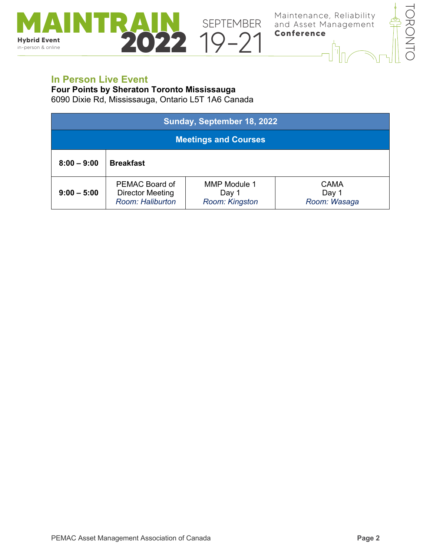

## **In Person Live Event**

in-person & online

**Four Points by Sheraton Toronto Mississauga**

**MAINTRAIN** SEPTEMBER<br> **AND SEPTEMBER**<br> **2022** 19-21

6090 Dixie Rd, Mississauga, Ontario L5T 1A6 Canada

| Sunday, September 18, 2022 |                                                               |                                         |                               |  |  |
|----------------------------|---------------------------------------------------------------|-----------------------------------------|-------------------------------|--|--|
|                            | <b>Meetings and Courses</b>                                   |                                         |                               |  |  |
| $8:00 - 9:00$              | <b>Breakfast</b>                                              |                                         |                               |  |  |
| $9:00 - 5:00$              | PEMAC Board of<br><b>Director Meeting</b><br>Room: Haliburton | MMP Module 1<br>Day 1<br>Room: Kingston | CAMA<br>Day 1<br>Room: Wasaga |  |  |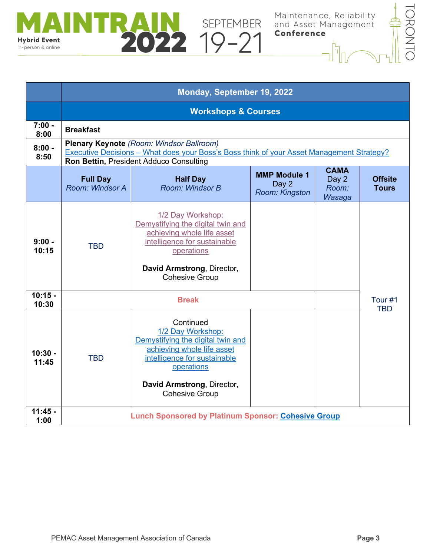

|                    | Monday, September 19, 2022         |                                                                                                                                                                                                        |  |  |                       |  |
|--------------------|------------------------------------|--------------------------------------------------------------------------------------------------------------------------------------------------------------------------------------------------------|--|--|-----------------------|--|
|                    | <b>Workshops &amp; Courses</b>     |                                                                                                                                                                                                        |  |  |                       |  |
| $7:00 -$<br>8:00   | <b>Breakfast</b>                   |                                                                                                                                                                                                        |  |  |                       |  |
| $8:00 -$<br>8:50   |                                    | <b>Plenary Keynote</b> (Room: Windsor Ballroom)<br>Executive Decisions - What does your Boss's Boss think of your Asset Management Strategy?<br>Ron Bettin, President Adduco Consulting                |  |  |                       |  |
|                    | <b>Full Day</b><br>Room: Windsor A | <b>CAMA</b><br><b>MMP Module 1</b><br><b>Half Day</b><br>Day 2<br>Day 2<br>Room: Windsor B<br>Room:<br>Room: Kingston<br>Wasaga                                                                        |  |  |                       |  |
| $9:00 -$<br>10:15  | <b>TBD</b>                         | 1/2 Day Workshop:<br>Demystifying the digital twin and<br>achieving whole life asset<br>intelligence for sustainable<br>operations<br>David Armstrong, Director,<br><b>Cohesive Group</b>              |  |  |                       |  |
| $10:15 -$<br>10:30 | <b>Break</b>                       |                                                                                                                                                                                                        |  |  | Tour #1<br><b>TBD</b> |  |
| $10:30 -$<br>11:45 | <b>TBD</b>                         | Continued<br>1/2 Day Workshop:<br>Demystifying the digital twin and<br>achieving whole life asset<br>intelligence for sustainable<br>operations<br>David Armstrong, Director,<br><b>Cohesive Group</b> |  |  |                       |  |
| $11:45 -$<br>1:00  |                                    | <b>Lunch Sponsored by Platinum Sponsor: Cohesive Group</b>                                                                                                                                             |  |  |                       |  |

**MAINTRAIN** SEPTEMBER<br> **AND SEPTEMBER**<br> **2022** 19-21

in-person & online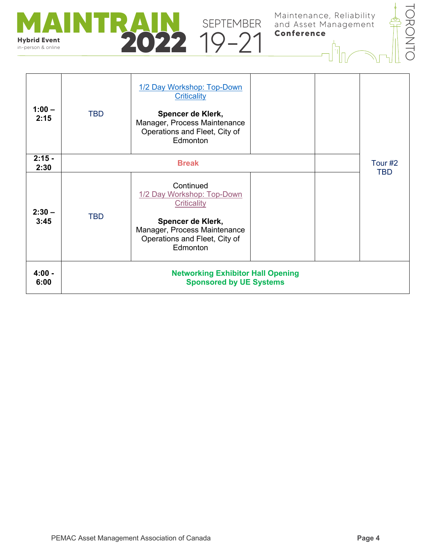



| $1:00 -$<br>2:15 | <b>TBD</b>   | 1/2 Day Workshop: Top-Down<br>Criticality<br>Spencer de Klerk,<br>Manager, Process Maintenance<br>Operations and Fleet, City of<br>Edmonton              |                       |  |
|------------------|--------------|----------------------------------------------------------------------------------------------------------------------------------------------------------|-----------------------|--|
| $2:15 -$<br>2:30 | <b>Break</b> |                                                                                                                                                          | Tour #2<br><b>TBD</b> |  |
| $2:30 -$<br>3:45 | <b>TBD</b>   | Continued<br>1/2 Day Workshop: Top-Down<br>Criticality<br>Spencer de Klerk,<br>Manager, Process Maintenance<br>Operations and Fleet, City of<br>Edmonton |                       |  |
| $4:00 -$<br>6:00 |              | <b>Networking Exhibitor Hall Opening</b><br><b>Sponsored by UE Systems</b>                                                                               |                       |  |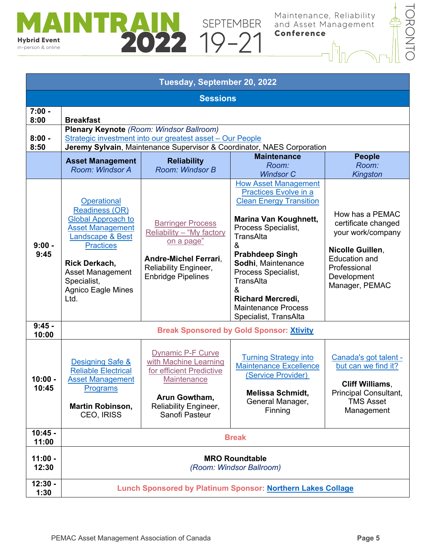



| Tuesday, September 20, 2022 |                                                                                                                                                                                                                                      |                                                                                                                                                           |                                                                                                                                                                                                                                                                                                                                                           |                                                                                                                                                          |  |
|-----------------------------|--------------------------------------------------------------------------------------------------------------------------------------------------------------------------------------------------------------------------------------|-----------------------------------------------------------------------------------------------------------------------------------------------------------|-----------------------------------------------------------------------------------------------------------------------------------------------------------------------------------------------------------------------------------------------------------------------------------------------------------------------------------------------------------|----------------------------------------------------------------------------------------------------------------------------------------------------------|--|
| <b>Sessions</b>             |                                                                                                                                                                                                                                      |                                                                                                                                                           |                                                                                                                                                                                                                                                                                                                                                           |                                                                                                                                                          |  |
| $7:00 -$<br>8:00            | <b>Breakfast</b>                                                                                                                                                                                                                     |                                                                                                                                                           |                                                                                                                                                                                                                                                                                                                                                           |                                                                                                                                                          |  |
| $8:00 -$<br>8:50            | <b>Plenary Keynote (Room: Windsor Ballroom)</b><br>Strategic investment into our greatest asset - Our People<br>Jeremy Sylvain, Maintenance Supervisor & Coordinator, NAES Corporation                                               |                                                                                                                                                           |                                                                                                                                                                                                                                                                                                                                                           |                                                                                                                                                          |  |
|                             | <b>Asset Management</b><br>Room: Windsor A                                                                                                                                                                                           | <b>Reliability</b><br>Room: Windsor B                                                                                                                     | <b>Maintenance</b><br>Room:<br><b>Windsor C</b>                                                                                                                                                                                                                                                                                                           | <b>People</b><br>Room:<br><b>Kingston</b>                                                                                                                |  |
| $9:00 -$<br>9:45            | Operational<br><b>Readiness (OR)</b><br><b>Global Approach to</b><br><b>Asset Management</b><br>Landscape & Best<br><b>Practices</b><br><b>Rick Derkach,</b><br>Asset Management<br>Specialist,<br><b>Agnico Eagle Mines</b><br>Ltd. | <b>Barringer Process</b><br>Reliability - "My factory<br>on a page"<br><b>Andre-Michel Ferrari,</b><br>Reliability Engineer,<br><b>Enbridge Pipelines</b> | <b>How Asset Management</b><br>Practices Evolve in a<br><b>Clean Energy Transition</b><br><b>Marina Van Koughnett,</b><br>Process Specialist,<br><b>TransAlta</b><br>&<br><b>Prabhdeep Singh</b><br>Sodhi, Maintenance<br>Process Specialist,<br><b>TransAlta</b><br>&<br><b>Richard Mercredi,</b><br><b>Maintenance Process</b><br>Specialist, TransAlta | How has a PEMAC<br>certificate changed<br>your work/company<br>Nicolle Guillen,<br><b>Education and</b><br>Professional<br>Development<br>Manager, PEMAC |  |
| $9:45 -$<br>10:00           |                                                                                                                                                                                                                                      |                                                                                                                                                           | <b>Break Sponsored by Gold Sponsor: Xtivity</b>                                                                                                                                                                                                                                                                                                           |                                                                                                                                                          |  |
| $10:00 -$<br>10:45          | Designing Safe &<br><b>Reliable Electrical</b><br><b>Asset Management</b><br>Programs<br><b>Martin Robinson,</b><br><b>CEO, IRISS</b>                                                                                                | <b>Dynamic P-F Curve</b><br>with Machine Learning<br>for efficient Predictive<br>Maintenance<br>Arun Gowtham,<br>Reliability Engineer,<br>Sanofi Pasteur  | <b>Turning Strategy into</b><br><b>Maintenance Excellence</b><br>(Service Provider)<br>Melissa Schmidt,<br>General Manager,<br>Finning                                                                                                                                                                                                                    | Canada's got talent -<br>but can we find it?<br><b>Cliff Williams,</b><br><b>Principal Consultant,</b><br><b>TMS Asset</b><br>Management                 |  |
| $10:45 -$<br>11:00          | <b>Break</b>                                                                                                                                                                                                                         |                                                                                                                                                           |                                                                                                                                                                                                                                                                                                                                                           |                                                                                                                                                          |  |
| $11:00 -$<br>12:30          | <b>MRO Roundtable</b><br>(Room: Windsor Ballroom)                                                                                                                                                                                    |                                                                                                                                                           |                                                                                                                                                                                                                                                                                                                                                           |                                                                                                                                                          |  |
| $12:30 -$<br>1:30           | Lunch Sponsored by Platinum Sponsor: Northern Lakes Collage                                                                                                                                                                          |                                                                                                                                                           |                                                                                                                                                                                                                                                                                                                                                           |                                                                                                                                                          |  |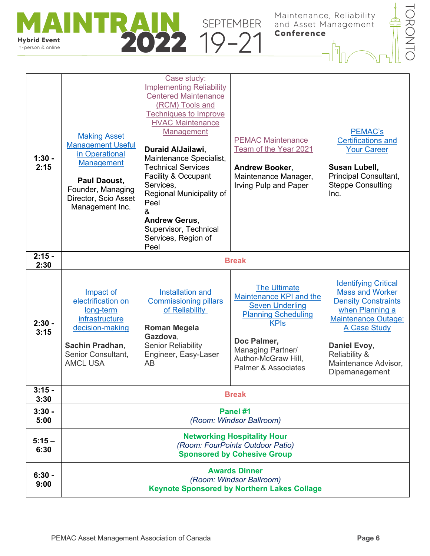



| $1:30 -$<br>2:15 | <b>Making Asset</b><br><b>Management Useful</b><br>in Operational<br><b>Management</b><br>Paul Daoust,<br>Founder, Managing<br>Director, Scio Asset<br>Management Inc. | Case study:<br><b>Implementing Reliability</b><br><b>Centered Maintenance</b><br>(RCM) Tools and<br><b>Techniques to Improve</b><br><b>HVAC Maintenance</b><br><b>Management</b><br><b>Duraid AlJailawi.</b><br>Maintenance Specialist,<br><b>Technical Services</b><br><b>Facility &amp; Occupant</b><br>Services,<br>Regional Municipality of<br>Peel<br>&<br><b>Andrew Gerus,</b><br>Supervisor, Technical<br>Services, Region of<br>Peel | <b>PEMAC Maintenance</b><br>Team of the Year 2021<br>Andrew Booker,<br>Maintenance Manager,<br>Irving Pulp and Paper                                                                                               | PEMAC's<br><b>Certifications and</b><br><b>Your Career</b><br>Susan Lubell,<br>Principal Consultant,<br><b>Steppe Consulting</b><br>Inc.                                                                                        |
|------------------|------------------------------------------------------------------------------------------------------------------------------------------------------------------------|----------------------------------------------------------------------------------------------------------------------------------------------------------------------------------------------------------------------------------------------------------------------------------------------------------------------------------------------------------------------------------------------------------------------------------------------|--------------------------------------------------------------------------------------------------------------------------------------------------------------------------------------------------------------------|---------------------------------------------------------------------------------------------------------------------------------------------------------------------------------------------------------------------------------|
| $2:15 -$<br>2:30 |                                                                                                                                                                        |                                                                                                                                                                                                                                                                                                                                                                                                                                              | <b>Break</b>                                                                                                                                                                                                       |                                                                                                                                                                                                                                 |
| $2:30 -$<br>3:15 | Impact of<br>electrification on<br>long-term<br>infrastructure<br>decision-making<br>Sachin Pradhan,<br>Senior Consultant,<br><b>AMCL USA</b>                          | Installation and<br><b>Commissioning pillars</b><br>of Reliability<br><b>Roman Megela</b><br>Gazdova,<br><b>Senior Reliability</b><br>Engineer, Easy-Laser<br>AB                                                                                                                                                                                                                                                                             | <b>The Ultimate</b><br>Maintenance KPI and the<br><b>Seven Underling</b><br><b>Planning Scheduling</b><br><b>KPIs</b><br>Doc Palmer,<br>Managing Partner/<br>Author-McGraw Hill,<br><b>Palmer &amp; Associates</b> | <b>Identifying Critical</b><br><b>Mass and Worker</b><br><b>Density Constraints</b><br>when Planning a<br><b>Maintenance Outage:</b><br>A Case Study<br>Daniel Evoy,<br>Reliability &<br>Maintenance Advisor,<br>Dlpemanagement |
| $3:15 -$<br>3:30 |                                                                                                                                                                        |                                                                                                                                                                                                                                                                                                                                                                                                                                              | <b>Break</b>                                                                                                                                                                                                       |                                                                                                                                                                                                                                 |
| $3:30 -$<br>5:00 | Panel #1<br>(Room: Windsor Ballroom)                                                                                                                                   |                                                                                                                                                                                                                                                                                                                                                                                                                                              |                                                                                                                                                                                                                    |                                                                                                                                                                                                                                 |
| $5:15-$<br>6:30  | <b>Networking Hospitality Hour</b><br>(Room: FourPoints Outdoor Patio)<br><b>Sponsored by Cohesive Group</b>                                                           |                                                                                                                                                                                                                                                                                                                                                                                                                                              |                                                                                                                                                                                                                    |                                                                                                                                                                                                                                 |
| $6:30 -$<br>9:00 | <b>Awards Dinner</b><br>(Room: Windsor Ballroom)<br><b>Keynote Sponsored by Northern Lakes Collage</b>                                                                 |                                                                                                                                                                                                                                                                                                                                                                                                                                              |                                                                                                                                                                                                                    |                                                                                                                                                                                                                                 |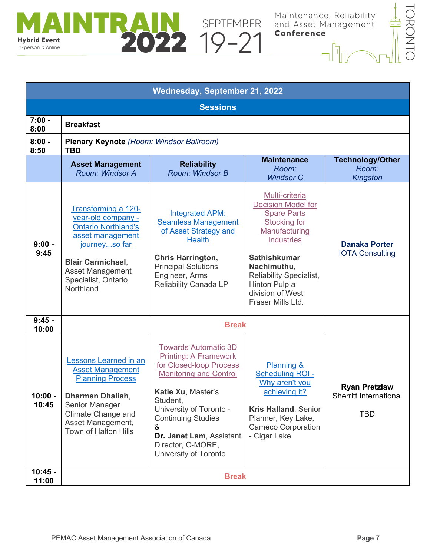



| Wednesday, September 21, 2022 |                                                                                                                                                                                                         |                                                                                                                                                                                                                                                                                                  |                                                                                                                                                                                                                                                                  |                                                              |  |  |
|-------------------------------|---------------------------------------------------------------------------------------------------------------------------------------------------------------------------------------------------------|--------------------------------------------------------------------------------------------------------------------------------------------------------------------------------------------------------------------------------------------------------------------------------------------------|------------------------------------------------------------------------------------------------------------------------------------------------------------------------------------------------------------------------------------------------------------------|--------------------------------------------------------------|--|--|
|                               | <b>Sessions</b>                                                                                                                                                                                         |                                                                                                                                                                                                                                                                                                  |                                                                                                                                                                                                                                                                  |                                                              |  |  |
| $7:00 -$<br>8:00              | <b>Breakfast</b>                                                                                                                                                                                        |                                                                                                                                                                                                                                                                                                  |                                                                                                                                                                                                                                                                  |                                                              |  |  |
| $8:00 -$<br>8:50              | <b>Plenary Keynote</b> (Room: Windsor Ballroom)<br><b>TBD</b>                                                                                                                                           |                                                                                                                                                                                                                                                                                                  |                                                                                                                                                                                                                                                                  |                                                              |  |  |
|                               | <b>Asset Management</b><br>Room: Windsor A                                                                                                                                                              | <b>Reliability</b><br>Room: Windsor B                                                                                                                                                                                                                                                            | <b>Maintenance</b><br>Room:<br><b>Windsor C</b>                                                                                                                                                                                                                  | <b>Technology/Other</b><br>Room:<br><b>Kingston</b>          |  |  |
| $9:00 -$<br>9:45              | Transforming a 120-<br>year-old company -<br><b>Ontario Northland's</b><br>asset management<br>journeyso far<br><b>Blair Carmichael,</b><br><b>Asset Management</b><br>Specialist, Ontario<br>Northland | <b>Integrated APM:</b><br><b>Seamless Management</b><br>of Asset Strategy and<br><b>Health</b><br><b>Chris Harrington,</b><br><b>Principal Solutions</b><br>Engineer, Arms<br>Reliability Canada LP                                                                                              | Multi-criteria<br><b>Decision Model for</b><br><b>Spare Parts</b><br><b>Stocking for</b><br>Manufacturing<br><b>Industries</b><br><b>Sathishkumar</b><br>Nachimuthu,<br><b>Reliability Specialist,</b><br>Hinton Pulp a<br>division of West<br>Fraser Mills Ltd. | <b>Danaka Porter</b><br><b>IOTA Consulting</b>               |  |  |
| $9:45 -$<br>10:00             |                                                                                                                                                                                                         | <b>Break</b>                                                                                                                                                                                                                                                                                     |                                                                                                                                                                                                                                                                  |                                                              |  |  |
| $10:00 -$<br>10:45            | Lessons Learned in an<br><b>Asset Management</b><br><b>Planning Process</b><br><b>Dharmen Dhaliah,</b><br>Senior Manager<br>Climate Change and<br>Asset Management,<br><b>Town of Halton Hills</b>      | <b>Towards Automatic 3D</b><br><b>Printing: A Framework</b><br>for Closed-loop Process<br><b>Monitoring and Control</b><br>Katie Xu, Master's<br>Student,<br>University of Toronto -<br><b>Continuing Studies</b><br>&<br>Dr. Janet Lam, Assistant<br>Director, C-MORE,<br>University of Toronto | Planning &<br><b>Scheduling ROI -</b><br>Why aren't you<br>achieving it?<br><b>Kris Halland, Senior</b><br>Planner, Key Lake,<br><b>Cameco Corporation</b><br>- Cigar Lake                                                                                       | <b>Ryan Pretzlaw</b><br>Sherritt International<br><b>TBD</b> |  |  |
| $10:45 -$<br>11:00            |                                                                                                                                                                                                         | <b>Break</b>                                                                                                                                                                                                                                                                                     |                                                                                                                                                                                                                                                                  |                                                              |  |  |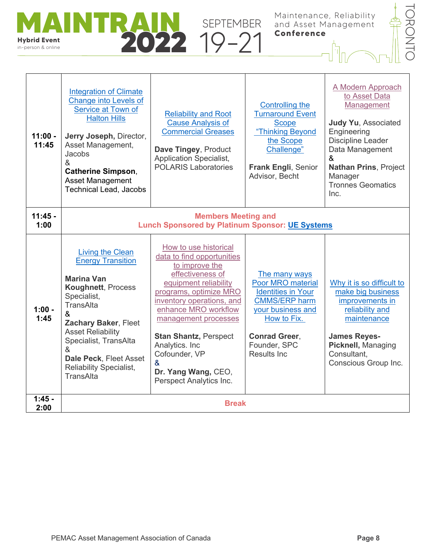



| $11:00 -$<br>11:45 | <b>Integration of Climate</b><br><b>Change into Levels of</b><br>Service at Town of<br><b>Halton Hills</b><br>Jerry Joseph, Director,<br>Asset Management,<br>Jacobs<br>&<br><b>Catherine Simpson,</b><br><b>Asset Management</b><br><b>Technical Lead, Jacobs</b>                                                                            | <b>Reliability and Root</b><br><b>Cause Analysis of</b><br><b>Commercial Greases</b><br>Dave Tingey, Product<br><b>Application Specialist,</b><br><b>POLARIS Laboratories</b>                                                                                                                                                                       | Controlling the<br><b>Turnaround Event</b><br><b>Scope</b><br>"Thinking Beyond<br>the Scope<br>Challenge"<br>Frank Engli, Senior<br>Advisor, Becht                                         | A Modern Approach<br>to Asset Data<br>Management<br><b>Judy Yu, Associated</b><br>Engineering<br><b>Discipline Leader</b><br>Data Management<br>&<br><b>Nathan Prins, Project</b><br>Manager<br><b>Tronnes Geomatics</b><br>Inc. |
|--------------------|-----------------------------------------------------------------------------------------------------------------------------------------------------------------------------------------------------------------------------------------------------------------------------------------------------------------------------------------------|-----------------------------------------------------------------------------------------------------------------------------------------------------------------------------------------------------------------------------------------------------------------------------------------------------------------------------------------------------|--------------------------------------------------------------------------------------------------------------------------------------------------------------------------------------------|----------------------------------------------------------------------------------------------------------------------------------------------------------------------------------------------------------------------------------|
| $11:45 -$<br>1:00  |                                                                                                                                                                                                                                                                                                                                               | <b>Members Meeting and</b><br><b>Lunch Sponsored by Platinum Sponsor: UE Systems</b>                                                                                                                                                                                                                                                                |                                                                                                                                                                                            |                                                                                                                                                                                                                                  |
| $1:00 -$<br>1:45   | <b>Living the Clean</b><br><b>Energy Transition</b><br><b>Marina Van</b><br><b>Koughnett, Process</b><br>Specialist,<br>TransAlta<br>$\boldsymbol{\mathcal{S}}$<br>Zachary Baker, Fleet<br><b>Asset Reliability</b><br>Specialist, TransAlta<br>$\mathcal{R}$<br>Dale Peck, Fleet Asset<br><b>Reliability Specialist,</b><br><b>TransAlta</b> | How to use historical<br>data to find opportunities<br>to improve the<br>effectiveness of<br>equipment reliability<br>programs, optimize MRO<br>inventory operations, and<br>enhance MRO workflow<br>management processes<br><b>Stan Shantz, Perspect</b><br>Analytics. Inc<br>Cofounder, VP<br>&<br>Dr. Yang Wang, CEO,<br>Perspect Analytics Inc. | The many ways<br><b>Poor MRO material</b><br><b>Identities in Your</b><br><b>CMMS/ERP harm</b><br>your business and<br>How to Fix.<br><b>Conrad Greer,</b><br>Founder, SPC<br>Results Inc. | Why it is so difficult to<br>make big business<br>improvements in<br>reliability and<br>maintenance<br><b>James Reyes-</b><br>Picknell, Managing<br>Consultant.<br>Conscious Group Inc.                                          |
| $1:45 -$<br>2:00   | <b>Break</b>                                                                                                                                                                                                                                                                                                                                  |                                                                                                                                                                                                                                                                                                                                                     |                                                                                                                                                                                            |                                                                                                                                                                                                                                  |